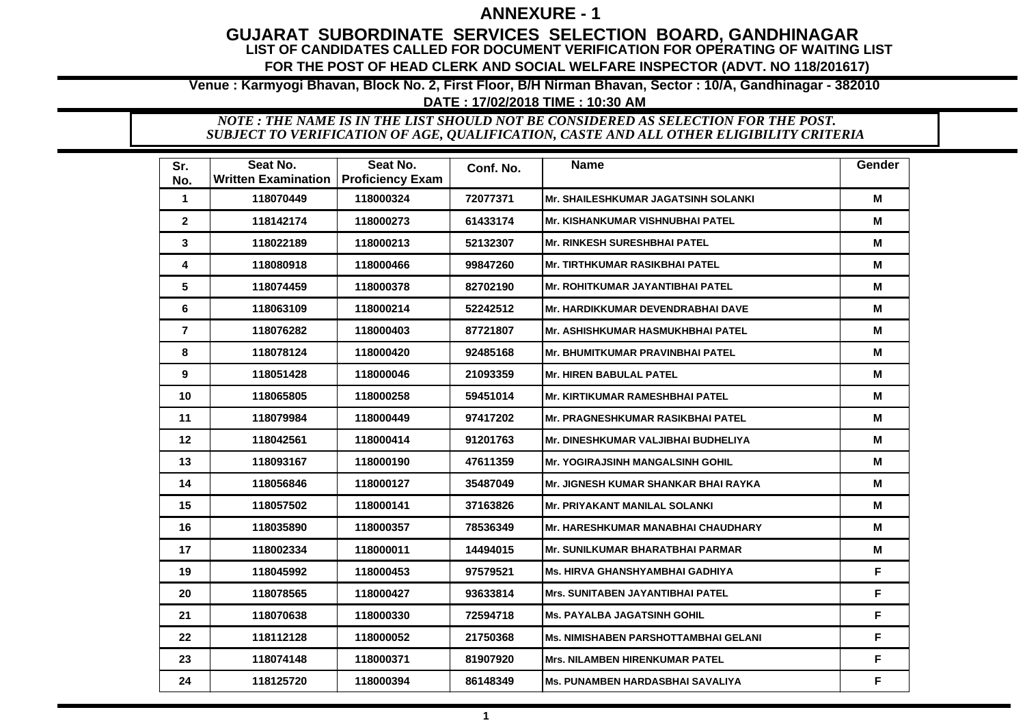## **ANNEXURE - 1**

### **GUJARAT SUBORDINATE SERVICES SELECTION BOARD, GANDHINAGAR LIST OF CANDIDATES CALLED FOR DOCUMENT VERIFICATION FOR OPERATING OF WAITING LIST FOR THE POST OF HEAD CLERK AND SOCIAL WELFARE INSPECTOR (ADVT. NO 118/201617)**

**Venue : Karmyogi Bhavan, Block No. 2, First Floor, B/H Nirman Bhavan, Sector : 10/A, Gandhinagar - 382010**

#### **DATE : 17/02/2018 TIME : 10:30 AM**

*SUBJECT TO VERIFICATION OF AGE, QUALIFICATION, CASTE AND ALL OTHER ELIGIBILITY CRITERIA NOTE : THE NAME IS IN THE LIST SHOULD NOT BE CONSIDERED AS SELECTION FOR THE POST.*

| Sr.<br>No.     | Seat No.<br><b>Written Examination</b> | Seat No.<br><b>Proficiency Exam</b> | Conf. No. | <b>Name</b>                                | <b>Gender</b> |
|----------------|----------------------------------------|-------------------------------------|-----------|--------------------------------------------|---------------|
| $\mathbf 1$    | 118070449                              | 118000324                           | 72077371  | <b>Mr. SHAILESHKUMAR JAGATSINH SOLANKI</b> | М             |
| $\overline{2}$ | 118142174                              | 118000273                           | 61433174  | <b>Mr. KISHANKUMAR VISHNUBHAI PATEL</b>    | М             |
| 3              | 118022189                              | 118000213                           | 52132307  | <b>Mr. RINKESH SURESHBHAI PATEL</b>        | M             |
| 4              | 118080918                              | 118000466                           | 99847260  | <b>Mr. TIRTHKUMAR RASIKBHAI PATEL</b>      | М             |
| 5              | 118074459                              | 118000378                           | 82702190  | Mr. ROHITKUMAR JAYANTIBHAI PATEL           | М             |
| 6              | 118063109                              | 118000214                           | 52242512  | <b>Mr. HARDIKKUMAR DEVENDRABHAI DAVE</b>   | М             |
| $\overline{7}$ | 118076282                              | 118000403                           | 87721807  | <b>Mr. ASHISHKUMAR HASMUKHBHAI PATEL</b>   | M             |
| 8              | 118078124                              | 118000420                           | 92485168  | <b>Mr. BHUMITKUMAR PRAVINBHAI PATEL</b>    | M             |
| 9              | 118051428                              | 118000046                           | 21093359  | <b>Mr. HIREN BABULAL PATEL</b>             | M             |
| 10             | 118065805                              | 118000258                           | 59451014  | <b>Mr. KIRTIKUMAR RAMESHBHAI PATEL</b>     | М             |
| 11             | 118079984                              | 118000449                           | 97417202  | <b>Mr. PRAGNESHKUMAR RASIKBHAI PATEL</b>   | M             |
| 12             | 118042561                              | 118000414                           | 91201763  | Mr. DINESHKUMAR VALJIBHAI BUDHELIYA        | М             |
| 13             | 118093167                              | 118000190                           | 47611359  | <b>Mr. YOGIRAJSINH MANGALSINH GOHIL</b>    | М             |
| 14             | 118056846                              | 118000127                           | 35487049  | Mr. JIGNESH KUMAR SHANKAR BHAI RAYKA       | М             |
| 15             | 118057502                              | 118000141                           | 37163826  | <b>Mr. PRIYAKANT MANILAL SOLANKI</b>       | М             |
| 16             | 118035890                              | 118000357                           | 78536349  | <b>Mr. HARESHKUMAR MANABHAI CHAUDHARY</b>  | М             |
| 17             | 118002334                              | 118000011                           | 14494015  | <b>Mr. SUNILKUMAR BHARATBHAI PARMAR</b>    | м             |
| 19             | 118045992                              | 118000453                           | 97579521  | Ms. HIRVA GHANSHYAMBHAI GADHIYA            | F.            |
| 20             | 118078565                              | 118000427                           | 93633814  | <b>Mrs. SUNITABEN JAYANTIBHAI PATEL</b>    | F             |
| 21             | 118070638                              | 118000330                           | 72594718  | <b>Ms. PAYALBA JAGATSINH GOHIL</b>         | F             |
| 22             | 118112128                              | 118000052                           | 21750368  | Ms. NIMISHABEN PARSHOTTAMBHAI GELANI       | F             |
| 23             | 118074148                              | 118000371                           | 81907920  | Mrs. NILAMBEN HIRENKUMAR PATEL             | F             |
| 24             | 118125720                              | 118000394                           | 86148349  | <b>Ms. PUNAMBEN HARDASBHAI SAVALIYA</b>    | F             |